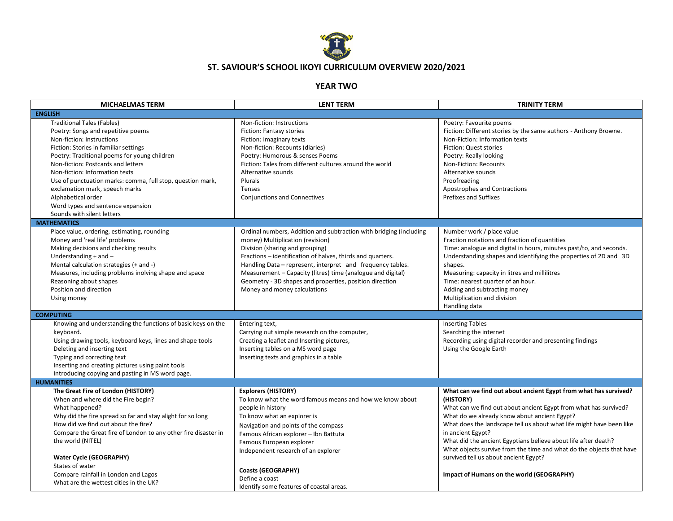

## **ST. SAVIOUR'S SCHOOL IKOYI CURRICULUM OVERVIEW 2020/2021**

## **YEAR TWO**

| <b>MICHAELMAS TERM</b>                                                                                                                                                                                                                                                                                                                                                                                                                                         | <b>LENT TERM</b>                                                                                                                                                                                                                                                                                                                                                                                                                | <b>TRINITY TERM</b>                                                                                                                                                                                                                                                                                                                                                                                                                                                               |
|----------------------------------------------------------------------------------------------------------------------------------------------------------------------------------------------------------------------------------------------------------------------------------------------------------------------------------------------------------------------------------------------------------------------------------------------------------------|---------------------------------------------------------------------------------------------------------------------------------------------------------------------------------------------------------------------------------------------------------------------------------------------------------------------------------------------------------------------------------------------------------------------------------|-----------------------------------------------------------------------------------------------------------------------------------------------------------------------------------------------------------------------------------------------------------------------------------------------------------------------------------------------------------------------------------------------------------------------------------------------------------------------------------|
| <b>ENGLISH</b>                                                                                                                                                                                                                                                                                                                                                                                                                                                 |                                                                                                                                                                                                                                                                                                                                                                                                                                 |                                                                                                                                                                                                                                                                                                                                                                                                                                                                                   |
| <b>Traditional Tales (Fables)</b><br>Poetry: Songs and repetitive poems<br>Non-fiction: Instructions<br>Fiction: Stories in familiar settings<br>Poetry: Traditional poems for young children<br>Non-fiction: Postcards and letters<br>Non-fiction: Information texts<br>Use of punctuation marks: comma, full stop, question mark,<br>exclamation mark, speech marks<br>Alphabetical order<br>Word types and sentence expansion<br>Sounds with silent letters | Non-fiction: Instructions<br>Fiction: Fantasy stories<br>Fiction: Imaginary texts<br>Non-fiction: Recounts (diaries)<br>Poetry: Humorous & senses Poems<br>Fiction: Tales from different cultures around the world<br>Alternative sounds<br>Plurals<br>Tenses<br>Conjunctions and Connectives                                                                                                                                   | Poetry: Favourite poems<br>Fiction: Different stories by the same authors - Anthony Browne.<br>Non-Fiction: Information texts<br>Fiction: Quest stories<br>Poetry: Really looking<br>Non-Fiction: Recounts<br>Alternative sounds<br>Proofreading<br>Apostrophes and Contractions<br><b>Prefixes and Suffixes</b>                                                                                                                                                                  |
| <b>MATHEMATICS</b>                                                                                                                                                                                                                                                                                                                                                                                                                                             |                                                                                                                                                                                                                                                                                                                                                                                                                                 |                                                                                                                                                                                                                                                                                                                                                                                                                                                                                   |
| Place value, ordering, estimating, rounding<br>Money and 'real life' problems<br>Making decisions and checking results<br>Understanding $+$ and $-$<br>Mental calculation strategies (+ and -)<br>Measures, including problems inolving shape and space<br>Reasoning about shapes<br>Position and direction<br>Using money                                                                                                                                     | Ordinal numbers, Addition and subtraction with bridging (including<br>money) Multiplication (revision)<br>Division (sharing and grouping)<br>Fractions - identification of halves, thirds and quarters.<br>Handling Data - represent, interpret and frequency tables.<br>Measurement - Capacity (litres) time (analogue and digital)<br>Geometry - 3D shapes and properties, position direction<br>Money and money calculations | Number work / place value<br>Fraction notations and fraction of quantities<br>Time: analogue and digital in hours, minutes past/to, and seconds.<br>Understanding shapes and identifying the properties of 2D and 3D<br>shapes.<br>Measuring: capacity in litres and millilitres<br>Time: nearest quarter of an hour.<br>Adding and subtracting money<br>Multiplication and division<br>Handling data                                                                             |
| <b>COMPUTING</b>                                                                                                                                                                                                                                                                                                                                                                                                                                               |                                                                                                                                                                                                                                                                                                                                                                                                                                 |                                                                                                                                                                                                                                                                                                                                                                                                                                                                                   |
| Knowing and understanding the functions of basic keys on the<br>keyboard.<br>Using drawing tools, keyboard keys, lines and shape tools<br>Deleting and inserting text<br>Typing and correcting text<br>Inserting and creating pictures using paint tools<br>Introducing copying and pasting in MS word page.                                                                                                                                                   | Entering text,<br>Carrying out simple research on the computer,<br>Creating a leaflet and Inserting pictures,<br>Inserting tables on a MS word page<br>Inserting texts and graphics in a table                                                                                                                                                                                                                                  | <b>Inserting Tables</b><br>Searching the internet<br>Recording using digital recorder and presenting findings<br>Using the Google Earth                                                                                                                                                                                                                                                                                                                                           |
| <b>HUMANITIES</b>                                                                                                                                                                                                                                                                                                                                                                                                                                              |                                                                                                                                                                                                                                                                                                                                                                                                                                 |                                                                                                                                                                                                                                                                                                                                                                                                                                                                                   |
| The Great Fire of London (HISTORY)<br>When and where did the Fire begin?<br>What happened?<br>Why did the fire spread so far and stay alight for so long<br>How did we find out about the fire?<br>Compare the Great fire of London to any other fire disaster in<br>the world (NITEL)<br><b>Water Cycle (GEOGRAPHY)</b><br>States of water                                                                                                                    | <b>Explorers (HISTORY)</b><br>To know what the word famous means and how we know about<br>people in history<br>To know what an explorer is<br>Navigation and points of the compass<br>Famous African explorer - Ibn Battuta<br>Famous European explorer<br>Independent research of an explorer<br><b>Coasts (GEOGRAPHY)</b>                                                                                                     | What can we find out about ancient Egypt from what has survived?<br>(HISTORY)<br>What can we find out about ancient Egypt from what has survived?<br>What do we already know about ancient Egypt?<br>What does the landscape tell us about what life might have been like<br>in ancient Egypt?<br>What did the ancient Egyptians believe about life after death?<br>What objects survive from the time and what do the objects that have<br>survived tell us about ancient Egypt? |
| Compare rainfall in London and Lagos<br>What are the wettest cities in the UK?                                                                                                                                                                                                                                                                                                                                                                                 | Define a coast<br>Identify some features of coastal areas.                                                                                                                                                                                                                                                                                                                                                                      | Impact of Humans on the world (GEOGRAPHY)                                                                                                                                                                                                                                                                                                                                                                                                                                         |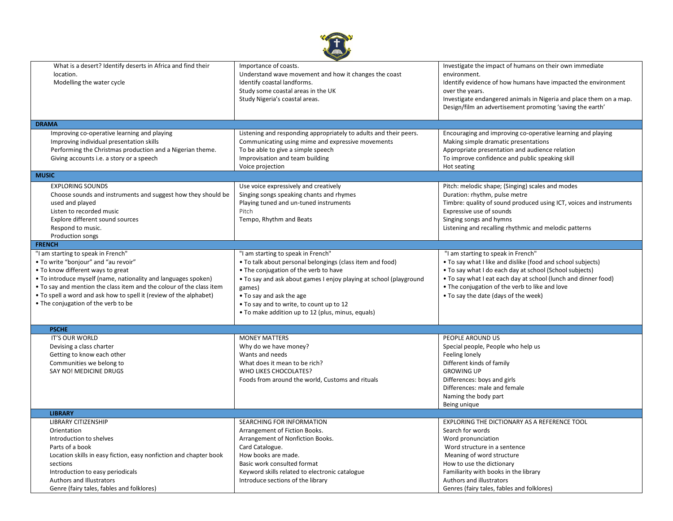| What is a desert? Identify deserts in Africa and find their<br>location.<br>Modelling the water cycle                                                                                                                                                                                                                                                                  | Importance of coasts.<br>Understand wave movement and how it changes the coast<br>Identify coastal landforms.<br>Study some coastal areas in the UK<br>Study Nigeria's coastal areas.                                                                                                                                                                 | Investigate the impact of humans on their own immediate<br>environment.<br>Identify evidence of how humans have impacted the environment<br>over the years.<br>Investigate endangered animals in Nigeria and place them on a map.<br>Design/film an advertisement promoting 'saving the earth'                           |  |  |
|------------------------------------------------------------------------------------------------------------------------------------------------------------------------------------------------------------------------------------------------------------------------------------------------------------------------------------------------------------------------|-------------------------------------------------------------------------------------------------------------------------------------------------------------------------------------------------------------------------------------------------------------------------------------------------------------------------------------------------------|--------------------------------------------------------------------------------------------------------------------------------------------------------------------------------------------------------------------------------------------------------------------------------------------------------------------------|--|--|
| <b>DRAMA</b>                                                                                                                                                                                                                                                                                                                                                           |                                                                                                                                                                                                                                                                                                                                                       |                                                                                                                                                                                                                                                                                                                          |  |  |
| Improving co-operative learning and playing<br>Improving individual presentation skills<br>Performing the Christmas production and a Nigerian theme.<br>Giving accounts i.e. a story or a speech                                                                                                                                                                       | Listening and responding appropriately to adults and their peers.<br>Communicating using mime and expressive movements<br>To be able to give a simple speech<br>Improvisation and team building<br>Voice projection                                                                                                                                   | Encouraging and improving co-operative learning and playing<br>Making simple dramatic presentations<br>Appropriate presentation and audience relation<br>To improve confidence and public speaking skill<br>Hot seating                                                                                                  |  |  |
| <b>MUSIC</b>                                                                                                                                                                                                                                                                                                                                                           |                                                                                                                                                                                                                                                                                                                                                       |                                                                                                                                                                                                                                                                                                                          |  |  |
| <b>EXPLORING SOUNDS</b><br>Choose sounds and instruments and suggest how they should be<br>used and played<br>Listen to recorded music<br>Explore different sound sources<br>Respond to music.<br>Production songs                                                                                                                                                     | Use voice expressively and creatively<br>Singing songs speaking chants and rhymes<br>Playing tuned and un-tuned instruments<br>Pitch<br>Tempo, Rhythm and Beats                                                                                                                                                                                       | Pitch: melodic shape; (Singing) scales and modes<br>Duration: rhythm, pulse metre<br>Timbre: quality of sound produced using ICT, voices and instruments<br>Expressive use of sounds<br>Singing songs and hymns<br>Listening and recalling rhythmic and melodic patterns                                                 |  |  |
| <b>FRENCH</b>                                                                                                                                                                                                                                                                                                                                                          |                                                                                                                                                                                                                                                                                                                                                       |                                                                                                                                                                                                                                                                                                                          |  |  |
| "I am starting to speak in French"<br>• To write "bonjour" and "au revoir"<br>• To know different ways to great<br>• To introduce myself (name, nationality and languages spoken)<br>• To say and mention the class item and the colour of the class item<br>• To spell a word and ask how to spell it (review of the alphabet)<br>• The conjugation of the verb to be | "I am starting to speak in French"<br>. To talk about personal belongings (class item and food)<br>• The conjugation of the verb to have<br>• To say and ask about games I enjoy playing at school (playground<br>games)<br>• To say and ask the age<br>• To say and to write, to count up to 12<br>• To make addition up to 12 (plus, minus, equals) | "I am starting to speak in French"<br>. To say what I like and dislike (food and school subjects)<br>• To say what I do each day at school (School subjects)<br>• To say what I eat each day at school (lunch and dinner food)<br>. The conjugation of the verb to like and love<br>. To say the date (days of the week) |  |  |
| <b>PSCHE</b>                                                                                                                                                                                                                                                                                                                                                           |                                                                                                                                                                                                                                                                                                                                                       |                                                                                                                                                                                                                                                                                                                          |  |  |
| IT'S OUR WORLD<br>Devising a class charter<br>Getting to know each other<br>Communities we belong to<br>SAY NO! MEDICINE DRUGS                                                                                                                                                                                                                                         | <b>MONEY MATTERS</b><br>Why do we have money?<br>Wants and needs<br>What does it mean to be rich?<br>WHO LIKES CHOCOLATES?<br>Foods from around the world, Customs and rituals                                                                                                                                                                        | PEOPLE AROUND US<br>Special people, People who help us<br>Feeling lonely<br>Different kinds of family<br><b>GROWING UP</b><br>Differences: boys and girls<br>Differences: male and female<br>Naming the body part<br>Being unique                                                                                        |  |  |
| <b>LIBRARY</b>                                                                                                                                                                                                                                                                                                                                                         |                                                                                                                                                                                                                                                                                                                                                       |                                                                                                                                                                                                                                                                                                                          |  |  |
| <b>LIBRARY CITIZENSHIP</b><br>Orientation<br>Introduction to shelves<br>Parts of a book<br>Location skills in easy fiction, easy nonfiction and chapter book<br>sections<br>Introduction to easy periodicals<br>Authors and Illustrators<br>Genre (fairy tales, fables and folklores)                                                                                  | SEARCHING FOR INFORMATION<br>Arrangement of Fiction Books.<br>Arrangement of Nonfiction Books.<br>Card Catalogue.<br>How books are made.<br>Basic work consulted format<br>Keyword skills related to electronic catalogue<br>Introduce sections of the library                                                                                        | EXPLORING THE DICTIONARY AS A REFERENCE TOOL<br>Search for words<br>Word pronunciation<br>Word structure in a sentence<br>Meaning of word structure<br>How to use the dictionary<br>Familiarity with books in the library<br>Authors and illustrators<br>Genres (fairy tales, fables and folklores)                      |  |  |

 $\sqrt{1 + 8}$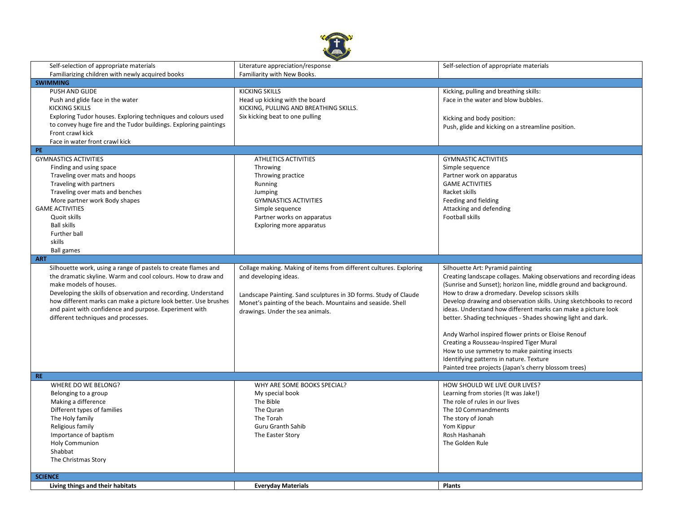

| Self-selection of appropriate materials                          | Literature appreciation/response                                   | Self-selection of appropriate materials                              |
|------------------------------------------------------------------|--------------------------------------------------------------------|----------------------------------------------------------------------|
|                                                                  |                                                                    |                                                                      |
| Familiarizing children with newly acquired books                 | Familiarity with New Books.                                        |                                                                      |
| <b>SWIMMING</b>                                                  |                                                                    |                                                                      |
| PUSH AND GLIDE                                                   | <b>KICKING SKILLS</b>                                              | Kicking, pulling and breathing skills:                               |
| Push and glide face in the water                                 | Head up kicking with the board                                     | Face in the water and blow bubbles.                                  |
| <b>KICKING SKILLS</b>                                            | KICKING, PULLING AND BREATHING SKILLS.                             |                                                                      |
| Exploring Tudor houses. Exploring techniques and colours used    | Six kicking beat to one pulling                                    | Kicking and body position:                                           |
| to convey huge fire and the Tudor buildings. Exploring paintings |                                                                    | Push, glide and kicking on a streamline position.                    |
| Front crawl kick                                                 |                                                                    |                                                                      |
| Face in water front crawl kick                                   |                                                                    |                                                                      |
| PE.                                                              |                                                                    |                                                                      |
| <b>GYMNASTICS ACTIVITIES</b>                                     | ATHLETICS ACTIVITIES                                               | <b>GYMNASTIC ACTIVITIES</b>                                          |
| Finding and using space                                          | Throwing                                                           | Simple sequence                                                      |
| Traveling over mats and hoops                                    | Throwing practice                                                  | Partner work on apparatus                                            |
| Traveling with partners                                          | Running                                                            | <b>GAME ACTIVITIES</b>                                               |
| Traveling over mats and benches                                  | Jumping                                                            | Racket skills                                                        |
| More partner work Body shapes                                    | <b>GYMNASTICS ACTIVITIES</b>                                       | Feeding and fielding                                                 |
| <b>GAME ACTIVITIES</b>                                           | Simple sequence                                                    | Attacking and defending                                              |
| Quoit skills                                                     | Partner works on apparatus                                         | Football skills                                                      |
| <b>Ball skills</b>                                               | Exploring more apparatus                                           |                                                                      |
| Further ball                                                     |                                                                    |                                                                      |
| skills                                                           |                                                                    |                                                                      |
| <b>Ball games</b>                                                |                                                                    |                                                                      |
| <b>ART</b>                                                       |                                                                    |                                                                      |
| Silhouette work, using a range of pastels to create flames and   | Collage making. Making of items from different cultures. Exploring | Silhouette Art: Pyramid painting                                     |
| the dramatic skyline. Warm and cool colours. How to draw and     | and developing ideas.                                              | Creating landscape collages. Making observations and recording ideas |
| make models of houses.                                           |                                                                    | (Sunrise and Sunset); horizon line, middle ground and background.    |
| Developing the skills of observation and recording. Understand   |                                                                    | How to draw a dromedary. Develop scissors skills                     |
| how different marks can make a picture look better. Use brushes  | Landscape Painting. Sand sculptures in 3D forms. Study of Claude   | Develop drawing and observation skills. Using sketchbooks to record  |
|                                                                  | Monet's painting of the beach. Mountains and seaside. Shell        |                                                                      |
| and paint with confidence and purpose. Experiment with           | drawings. Under the sea animals.                                   | ideas. Understand how different marks can make a picture look        |
| different techniques and processes.                              |                                                                    | better. Shading techniques - Shades showing light and dark.          |
|                                                                  |                                                                    |                                                                      |
|                                                                  |                                                                    | Andy Warhol inspired flower prints or Eloise Renouf                  |
|                                                                  |                                                                    | Creating a Rousseau-Inspired Tiger Mural                             |
|                                                                  |                                                                    | How to use symmetry to make painting insects                         |
|                                                                  |                                                                    | Identifying patterns in nature. Texture                              |
|                                                                  |                                                                    | Painted tree projects (Japan's cherry blossom trees)                 |
| RE.                                                              |                                                                    |                                                                      |
| WHERE DO WE BELONG?                                              | WHY ARE SOME BOOKS SPECIAL?                                        | HOW SHOULD WE LIVE OUR LIVES?                                        |
| Belonging to a group                                             | My special book                                                    | Learning from stories (It was Jake!)                                 |
| Making a difference                                              | The Bible                                                          | The role of rules in our lives                                       |
| Different types of families                                      | The Quran                                                          | The 10 Commandments                                                  |
| The Holy family                                                  | The Torah                                                          | The story of Jonah                                                   |
| Religious family                                                 | <b>Guru Granth Sahib</b>                                           | Yom Kippur                                                           |
| Importance of baptism                                            | The Easter Story                                                   | Rosh Hashanah                                                        |
| Holy Communion                                                   |                                                                    | The Golden Rule                                                      |
| Shabbat                                                          |                                                                    |                                                                      |
| The Christmas Story                                              |                                                                    |                                                                      |
|                                                                  |                                                                    |                                                                      |
| <b>SCIENCE</b>                                                   |                                                                    |                                                                      |
| Living things and their habitats                                 | <b>Everyday Materials</b>                                          | <b>Plants</b>                                                        |
|                                                                  |                                                                    |                                                                      |